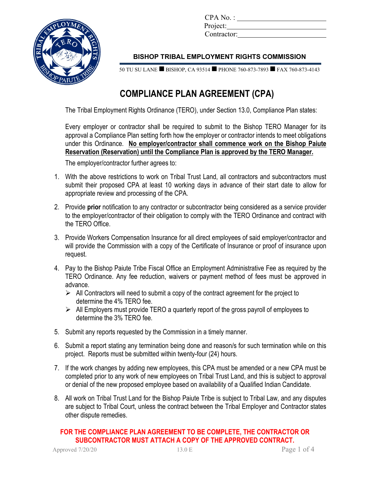

CPA No. : Project: Contractor:

## **BISHOP TRIBAL EMPLOYMENT RIGHTS COMMISSION**

50 TU SU LANE BISHOP, CA 93514 PHONE 760-873-7893 FAX 760-873-4143

# **COMPLIANCE PLAN AGREEMENT (CPA)**

The Tribal Employment Rights Ordinance (TERO), under Section 13.0, Compliance Plan states:

Every employer or contractor shall be required to submit to the Bishop TERO Manager for its approval a Compliance Plan setting forth how the employer or contractor intends to meet obligations under this Ordinance. **No employer/contractor shall commence work on the Bishop Paiute Reservation (Reservation) until the Compliance Plan is approved by the TERO Manager.**

The employer/contractor further agrees to:

- 1. With the above restrictions to work on Tribal Trust Land, all contractors and subcontractors must submit their proposed CPA at least 10 working days in advance of their start date to allow for appropriate review and processing of the CPA.
- 2. Provide **prior** notification to any contractor or subcontractor being considered as a service provider to the employer/contractor of their obligation to comply with the TERO Ordinance and contract with the TERO Office.
- 3. Provide Workers Compensation Insurance for all direct employees of said employer/contractor and will provide the Commission with a copy of the Certificate of Insurance or proof of insurance upon request.
- 4. Pay to the Bishop Paiute Tribe Fiscal Office an Employment Administrative Fee as required by the TERO Ordinance. Any fee reduction, waivers or payment method of fees must be approved in advance.
	- $\triangleright$  All Contractors will need to submit a copy of the contract agreement for the project to determine the 4% TERO fee.
	- $\triangleright$  All Employers must provide TERO a quarterly report of the gross payroll of employees to determine the 3% TERO fee.
- 5. Submit any reports requested by the Commission in a timely manner.
- 6. Submit a report stating any termination being done and reason/s for such termination while on this project. Reports must be submitted within twenty-four (24) hours.
- 7. If the work changes by adding new employees, this CPA must be amended or a new CPA must be completed prior to any work of new employees on Tribal Trust Land, and this is subject to approval or denial of the new proposed employee based on availability of a Qualified Indian Candidate.
- 8. All work on Tribal Trust Land for the Bishop Paiute Tribe is subject to Tribal Law, and any disputes are subject to Tribal Court, unless the contract between the Tribal Employer and Contractor states other dispute remedies.

**FOR THE COMPLIANCE PLAN AGREEMENT TO BE COMPLETE, THE CONTRACTOR OR SUBCONTRACTOR MUST ATTACH A COPY OF THE APPROVED CONTRACT.**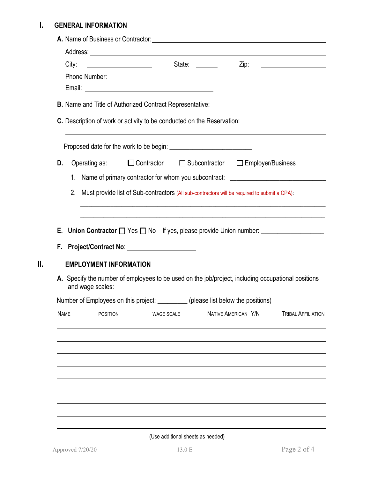# **I. GENERAL INFORMATION**

| State:<br>City:<br>Zip:<br><u> The Communication of the Communication</u><br>C. Description of work or activity to be conducted on the Reservation:<br>Operating as:<br>□ Contractor □ Subcontractor □ Employer/Business<br>1. Name of primary contractor for whom you subcontract: ________________________<br>2.<br>Must provide list of Sub-contractors (All sub-contractors will be required to submit a CPA):<br>E. Union Contractor $\Box$ Yes $\Box$ No If yes, please provide Union number: __________________________ |                               |
|--------------------------------------------------------------------------------------------------------------------------------------------------------------------------------------------------------------------------------------------------------------------------------------------------------------------------------------------------------------------------------------------------------------------------------------------------------------------------------------------------------------------------------|-------------------------------|
|                                                                                                                                                                                                                                                                                                                                                                                                                                                                                                                                |                               |
|                                                                                                                                                                                                                                                                                                                                                                                                                                                                                                                                |                               |
|                                                                                                                                                                                                                                                                                                                                                                                                                                                                                                                                |                               |
|                                                                                                                                                                                                                                                                                                                                                                                                                                                                                                                                |                               |
|                                                                                                                                                                                                                                                                                                                                                                                                                                                                                                                                |                               |
|                                                                                                                                                                                                                                                                                                                                                                                                                                                                                                                                |                               |
|                                                                                                                                                                                                                                                                                                                                                                                                                                                                                                                                |                               |
|                                                                                                                                                                                                                                                                                                                                                                                                                                                                                                                                |                               |
|                                                                                                                                                                                                                                                                                                                                                                                                                                                                                                                                |                               |
|                                                                                                                                                                                                                                                                                                                                                                                                                                                                                                                                |                               |
|                                                                                                                                                                                                                                                                                                                                                                                                                                                                                                                                |                               |
|                                                                                                                                                                                                                                                                                                                                                                                                                                                                                                                                |                               |
|                                                                                                                                                                                                                                                                                                                                                                                                                                                                                                                                |                               |
|                                                                                                                                                                                                                                                                                                                                                                                                                                                                                                                                |                               |
|                                                                                                                                                                                                                                                                                                                                                                                                                                                                                                                                |                               |
|                                                                                                                                                                                                                                                                                                                                                                                                                                                                                                                                |                               |
| A. Specify the number of employees to be used on the job/project, including occupational positions<br>and wage scales:                                                                                                                                                                                                                                                                                                                                                                                                         |                               |
| Number of Employees on this project: __________ (please list below the positions)                                                                                                                                                                                                                                                                                                                                                                                                                                              |                               |
| NATIVE AMERICAN Y/N<br><b>POSITION</b><br>WAGE SCALE                                                                                                                                                                                                                                                                                                                                                                                                                                                                           | <b>TRIBAL AFFILIATION</b>     |
|                                                                                                                                                                                                                                                                                                                                                                                                                                                                                                                                | <b>EMPLOYMENT INFORMATION</b> |

(Use additional sheets as needed)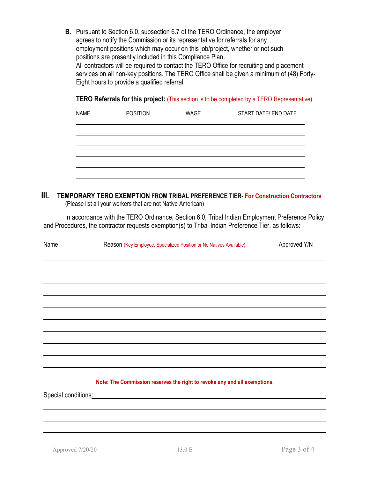**B.** Pursuant to Section 6.0, subsection 6.7 of the TERO Ordinance, the employer agrees to notify the Commission or its representative for referrals for any employment positions which may occur on this job/project, whether or not such positions are presently included in this Compliance Plan. All contractors will be required to contact the TERO Office for recruiting and placement services on all non-key positions. The TERO Office shall be given a minimum of (48) Forty-Eight hours to provide a qualified referral.

|  | TERO Referrals for this project: (This section is to be completed by a TERO Representative) |
|--|---------------------------------------------------------------------------------------------|
|--|---------------------------------------------------------------------------------------------|

| <b>NAME</b> | <b>POSITION</b> | <b>WAGE</b> | START DATE/ END DATE |
|-------------|-----------------|-------------|----------------------|
|             |                 |             |                      |
|             |                 |             |                      |
|             |                 |             |                      |
|             |                 |             |                      |

#### **III. TEMPORARY TERO EXEMPTION FROM TRIBAL PREFERENCE TIER- For Construction Contractors** (Please list all your workers that are not Native American)

In accordance with the TERO Ordinance, Section 6.0, Tribal Indian Employment Preference Policy and Procedures, the contractor requests exemption(s) to Tribal Indian Preference Tier, as follows:

| Name                | Reason (Key Employee, Specialized Position or No Natives Available)                                                  | Approved Y/N |
|---------------------|----------------------------------------------------------------------------------------------------------------------|--------------|
|                     |                                                                                                                      |              |
|                     |                                                                                                                      |              |
|                     |                                                                                                                      |              |
|                     |                                                                                                                      |              |
|                     |                                                                                                                      |              |
|                     |                                                                                                                      |              |
|                     |                                                                                                                      |              |
|                     |                                                                                                                      |              |
|                     |                                                                                                                      |              |
|                     |                                                                                                                      |              |
|                     |                                                                                                                      |              |
|                     | Note: The Commission reserves the right to revoke any and all exemptions.                                            |              |
| Special conditions: | <u> 2001 - Jan James James James James James James James James James James James James James James James James J</u> |              |